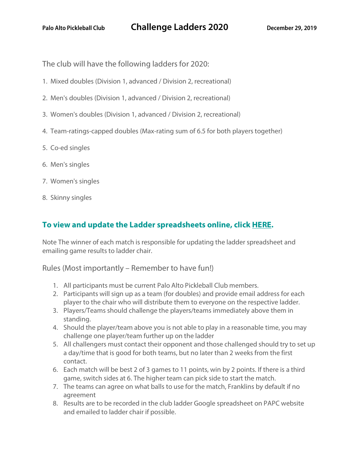The club will have the following ladders for 2020:

- 1. Mixed doubles (Division 1, advanced / Division 2, recreational)
- 2. Men's doubles (Division 1, advanced / Division 2, recreational)
- 3. Women's doubles (Division 1, advanced / Division 2, recreational)
- 4. Team-ratings-capped doubles (Max-rating sum of 6.5 for both players together)
- 5. Co-ed singles
- 6. Men's singles
- 7. Women's singles
- 8. Skinny singles

## **To view and update the Ladder spreadsheets online, click HERE.**

Note The winner of each match is responsible for updating the ladder spreadsheet and emailing game results to ladder chair.

Rules (Most importantly – Remember to have fun!)

- 1. All participants must be current Palo Alto Pickleball Club members.
- 2. Participants will sign up as a team (for doubles) and provide email address for each player to the chair who will distribute them to everyone on the respective ladder.
- 3. Players/Teams should challenge the players/teams immediately above them in standing.
- 4. Should the player/team above you is not able to play in a reasonable time, you may challenge one player/team further up on the ladder
- 5. All challengers must contact their opponent and those challenged should try to set up a day/time that is good for both teams, but no later than 2 weeks from the first contact.
- 6. Each match will be best 2 of 3 games to 11 points, win by 2 points. If there is a third game, switch sides at 6. The higher team can pick side to start the match.
- 7. The teams can agree on what balls to use for the match, Franklins by default if no agreement
- 8. Results are to be recorded in the club ladder Google spreadsheet on PAPC website and emailed to ladder chair if possible.